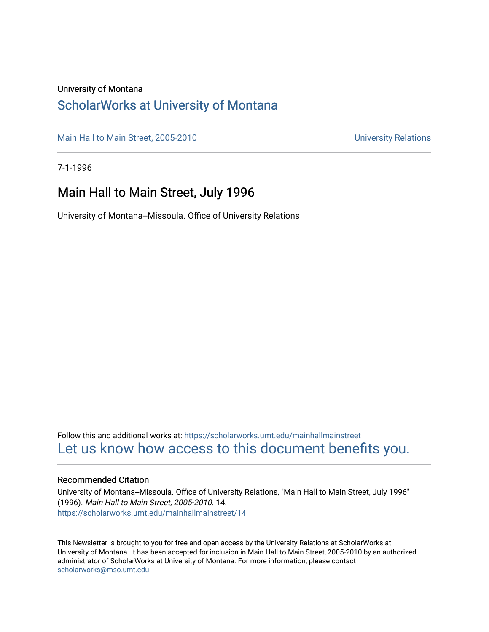#### University of Montana

### [ScholarWorks at University of Montana](https://scholarworks.umt.edu/)

[Main Hall to Main Street, 2005-2010](https://scholarworks.umt.edu/mainhallmainstreet) Main Hall to Main Street, 2005-2010

7-1-1996

### Main Hall to Main Street, July 1996

University of Montana--Missoula. Office of University Relations

Follow this and additional works at: [https://scholarworks.umt.edu/mainhallmainstreet](https://scholarworks.umt.edu/mainhallmainstreet?utm_source=scholarworks.umt.edu%2Fmainhallmainstreet%2F14&utm_medium=PDF&utm_campaign=PDFCoverPages) [Let us know how access to this document benefits you.](https://goo.gl/forms/s2rGfXOLzz71qgsB2) 

#### Recommended Citation

University of Montana--Missoula. Office of University Relations, "Main Hall to Main Street, July 1996" (1996). Main Hall to Main Street, 2005-2010. 14. [https://scholarworks.umt.edu/mainhallmainstreet/14](https://scholarworks.umt.edu/mainhallmainstreet/14?utm_source=scholarworks.umt.edu%2Fmainhallmainstreet%2F14&utm_medium=PDF&utm_campaign=PDFCoverPages) 

This Newsletter is brought to you for free and open access by the University Relations at ScholarWorks at University of Montana. It has been accepted for inclusion in Main Hall to Main Street, 2005-2010 by an authorized administrator of ScholarWorks at University of Montana. For more information, please contact [scholarworks@mso.umt.edu.](mailto:scholarworks@mso.umt.edu)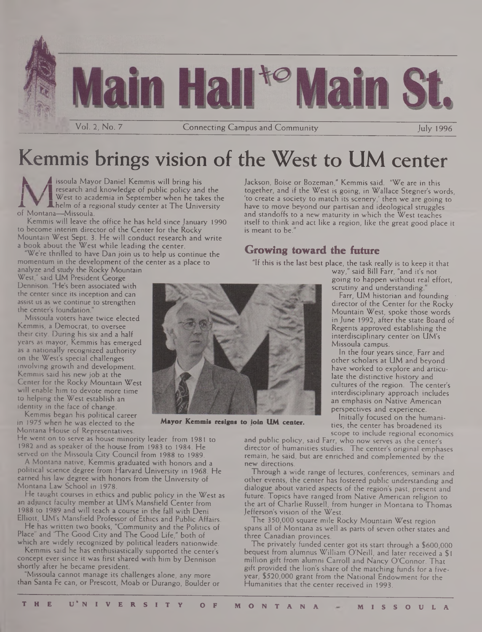

## Kemmis brings vision of the West to UM center

issoula Mayor Daniel Kemmis will bring his research and knowledge of public policy and the **<sup>I</sup> I** West to academia in September when he takes the **A**helm of a regional study center at The University of Montana—Missoula.

Kemmis will leave the office he has held since January 1990 to become interim director of the Center for the Rocky Mountain West Sept. 3. He will conduct research and write a book about the West while leading the center.

We're thrilled to have Dan join us to help us continue the momentum in the development of the center as a place to

analyze and study the Rocky Mountain West," said UM President George Dennison. "He's been associated with the center since its inception and can assist us as we continue to strengthen the center's foundation."

Missoula voters have twice elected Kemmis, a Democrat, to oversee their city. During his six and a half years as mayor, Kemmis has emerged as a nationally recognized authority on the West's special challenges involving growth and development. Kemmis said his new job at the Center for the Rocky Mountain West will enable him to devote more time to helping the West establish an identity in the face of change.

Kemmis began his political career in 1975 when he was elected to the Montana House of Representatives.

He went on to serve as house minority leader from 1981 to 1982 and as speaker of the house from 1983 to 1984. He served on the Missoula City Council from 1988 to 1989.

A Montana native, Kemmis graduated with honors and a political science degree from Harvard University in 1968. He earned his law degree with honors from the University of Montana Law School in 1978.

He taught courses in ethics and public policy in the West as an adjunct faculty member at UM's Mansfield Center from 1988 to 1989 and will teach a course in the fall with Deni Elliott, UM's Mansfield Professor of Ethics and Public Affairs.

He has written two books, "Community and the Politics of Place" and "The Good City and The Good Life," both of which are widely recognized by political leaders nationwide.

Kemmis said he has enthusiastically supported the center's concept ever since it was first shared with him by Dennison shortly after he became president.

"Missoula cannot manage its challenges alone, any more than Santa Fe can, or Prescott, Moab or Durango, Boulder or Jackson, Boise or Bozeman," Kemmis said. "We are in this together, and if the West is going, in Wallace Stegner's words, 'to create a society to match its scenery,' then we are going to have to move beyond our partisan and ideological struggles and standoffs to a new maturity in which the West teaches itself to think and act like a region, like the great good place it is meant to be."

#### **Growing toward the future**

"If this is the last best place, the task really is to keep it that

way," said Bill Farr, "and it's not going to happen without real effort, scrutiny and understanding."<br>Farr, UM historian and founding

director of the Center for the Rocky Mountain West, spoke those words in June 1992, after the state Board of Regents approved establishing the interdisciplinary center on UM's Missoula campus.

In the four years since, Farr and other scholars at UM and beyond have worked to explore and articulate the distinctive history and cultures of the region. The center's interdisciplinary approach includes an emphasis on Native American perspectives and experience.

Initially focused on the humanities, the center has broadened its scope to include regional economics

and public policy, said Farr, who now serves as the center's director of humanities studies. The center's original emphases remain, he said, but are enriched and complemented by the new directions.

Through a wide range of lectures, conferences, seminars and other events, the center has fostered public understanding and dialogue about varied aspects of the region's past, present and future. Topics have ranged from Native American religion to the art of Charlie Russell, from hunger in Montana to Thomas Jefferson's vision of the West.

The 350,000 square mile Rocky Mountain West region spans all of Montana as well as parts of seven other states and three Canadian provinces.

The privately funded center got its start through a \$600,000 bequest from alumnus William O'Neill, and later received a \$1 million gift from alumni Carroll and Nancy O'Connor. That gift provided the lion's share of the matching funds for a fiveyear, \$520,000 grant from the National Endowment for the Humanities that the center received in 1993.



**Mayor Kemmis resigns to ioin UM center.**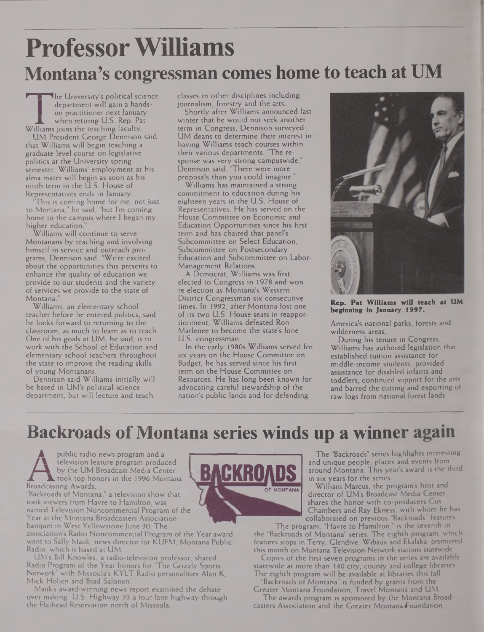# **ProfessorWilliams Montana's congressman comes home to teach at UM**

**The University's political science** department will gain a handson practitioner next January when retiring U.S. Rep. Pat Williams joins the teaching faculty.

UM President George Dennison said that Williams will begin teaching a graduate level course on legislative politics at the University spring semester. Williams' employment at his alma mater will begin as soon as his ninth term in the U.S. House of Representatives ends in January.

This is coming home for me, not just to Montana," he said, "but I'm coming home to the campus where <sup>I</sup> began my higher education.

Williams will continue to serve Montanans by teaching and involving himself in service and outreach programs, Dennison said. "We're excited about the opportunities this presents to enhance the quality of education we provide to our students and the variety of services we provide to the state of Montana."

Williams, an elementary school teacher before he entered politics, said he looks forward to returning to the classroom, as much to learn as to teach. One of his goals at UM, he said, is to work with the School of Education and elementary school teachers throughout the state to improve the reading skills of young Montanans.

Dennison said Williams initially will be based in UM's political science department, but will lecture and teach classes in other disciplines including journalism, forestry and the arts.

Shortly after Williams announced last winter that he would not seek another term in Congress, Dennison surveyed UM deans to determine their interest in having Williams teach courses within their various departments. 'The response was very strong campuswide," Dennison said. 'There were more proposals than you could imagine."

Williams has maintained a strong commitment to education during his eighteen years in the U.S. House of Representatives. He has served on the House Committee on Economic and Education Opportunities since his first term and has chaired that panel's Subcommittee on Select Education, Subcommittee on Postsecondary Education and Subcommittee on Labor-Management Relations.

A Democrat, Williams was first elected to Congress in 1978 and won re-election as Montana's Western District Congressman six consecutive times. In 1992, after Montana lost one of its two U.S. House seats in reapportionment, Williams defeated Ron Marlenee to become the state's lone U.S. congressman.

In the early 1980s Williams served for six years on the House Committee on Budget; he has served since his first term on the House Committee on Resources. He has long been known for advocating careful stewardship of the nation's public lands and for defending



**Rep. Pat William\* will teach at IIM beginning in January 1997.**

America's national parks, forests and wilderness areas.

During his tenure in Congress, Williams has authored legislation that established tuition assistance for middle-income students, provided assistance for disabled infants and toddlers, continued support for the arts and barred the cutting and exporting of raw logs from national forest lands.

### **Backroads ofMontana series winds up a winner again**

public radio news program and a television feature program produced **Z—X** by the UM Broadcast Media Center took top honors in the 1996 Montana Broadcasting Awards.

"Backroads of Montana," a television show that took viewers from Havre to Hamilton, was named Television Noncommercial Program of the Year at the Montana Broadcasters Association banquet in West Yellowstone June 30. The

association's Radio Noncommercial Program of the Year award went to Sally Mauk, news director for KUFM, Montana Public Radio, which is based at UM.

UM's Bill Knowles, a radio-television professor, shared Radio Program of the Year honors for "The Grizzly Sports Network" with Missoula's KYLT Radio personalities Alan K, Mick Holien and Brad Salonen.

Mauk's award-winning news report examined the debate over making U.S. Highway 93 a four-lane highway through the Flathead Reservation north of Missoula.



The "Backroads" series highlights interesting and unique people, places and events from around Montana. This year's award is the third in six years for the series.

William Marcus, the program's host and director of UM's Broadcast Media Center, shares the honor with co-producers Cus Chambers and Ray Ekness, with whom he has collaborated on previous "Backroads" features.

Tlje program, "Havre to Hamilton," is the seventh in the "Backroads of Montana" series. The eighth program, which features stops in Terry, Glendive, Wibaux and Ekalaka, premiered this month on Montana Television Network stations statewide.

Copies of the first seven programs in the series are available statewide at more than 140 city, county and college libraries. The eighth program will be available at libraries this fall.

Backroads of Montana" is funded by grants from the Greater Montana Foundation, Travel Montana and UM.

The awards program is sponsored by the Montana Broadcasters Association and the Greater Montana foundation.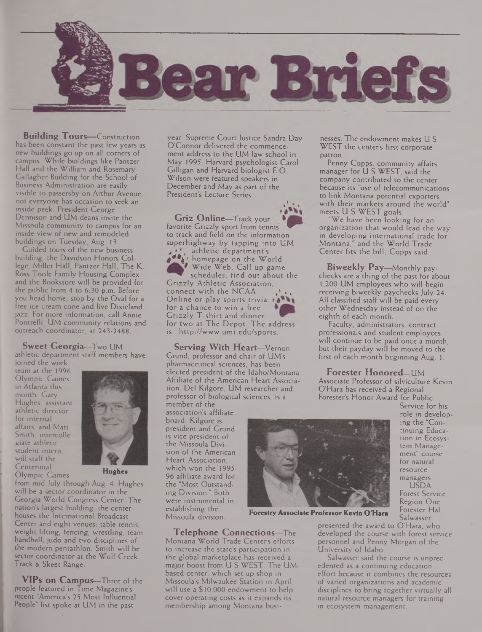

**Building Tours—**Construction has been constant the past few years as new buildings go up on all corners of campus. While buildings like Pantzer Hall and the William and Rosemary Gallagher Building for the School of Business Administration are easily visible to passersby on Arthur Avenue, not everyone has occasion to seek an inside peek. President George Dennison and UM deans invite the Missoula community to campus for an inside view of new and remodeled buildings on Tuesday, Aug. 13.

Guided tours of the new business building, the Davidson Honors College, Miller Hall, Pantzer Hall, The K. Ross Toole Family Housing Complex and the Bookstore will be provided for the public from *4* to 6:30 p.m. Before you head home, stop by the Oval for a free ice cream cone and live Dixieland jazz. For more information, call Annie Pontrelli, UM community relations and outreach coordinator, at 243-2488.

**Sweet Georgia—**Two UM athletic department staff members have joined the work

team at the 1996 Olympic Games in Atlanta this month. Cary Hughes, assistant athletic director for internal affairs, and Matt Smith, intercolle giate athletic student intern, will staff the Centennial Olympic Games



**Hughes**

from mid-July through Aug. 4. Hughes will be a sector coordinator in the Georgia World Congress Center. The nation's largest building, the center houses the International Broadcast Center and eight venues: table tennis, weight lifting, fencing, wrestling, team handball, judo and two disciplines of the modern pentathlon. Smith will be sector coordinator at the Wolf Creek Track & Skeet Range.

**VIPs on Campus—**Three of the people featured in Time Magazine's recent "America's 25 Most Influential People" list spoke at UM in the past

year. Supreme Court Justice Sandra Day O'Connor delivered the commencement address to the UM law school in May 1995. Harvard psychologist Carol Gilligan and Harvard biologist E.O. Wilson were featured speakers in December and May as part of the President's Lecture Series.

**Griz Online—**Track your favorite Grizzly sport from tennis to track and field on the information superhighway by tapping into UM athletic department's **4\*\*A '** homepage on the World Wide Web. Call up game schedules, find out about the Grizzly Athletic Association, connect with the NCAA Online or play sports trivia for a chance to win a free Grizzly T-shirt and dinner for two at The Depot. The address is: <http://www.umt.edu/sports>.

**Serving With Heart—**Vernon Grund, professor and chair of UM's pharmaceutical sciences, has been elected president of the Idaho/Montana Affiliate of the American Heart Association. Del Kilgore, UM researcher and professor of biological sciences, is a

member of the association's affiliate board. Kilgore is president and Grund is vice president of the Missoula Division of the American Heart Association, which won the 1995- 96 affiliate award for the "Most Outstanding Division." Both were instrumental in establishing the<br>Missoula division.

Missoula division. **Forestry Associate Professor Kevin O'Hara**

**Telephone Connections—**The Montana World Trade Center's efforts to increase the state's participation in the global marketplace has received a major boost from U S WEST. The UM based center, which set up shop in Missoula's Milwaukee Station in April, will use a \$10,000 endowment to help cover operating costs as it expands its membership among Montana busi-

nesses. The endowment makes U S WEST the center's first corporate patron.

Penny Copps, community affairs manager for U S WEST, said the company contributed to the center because its "use of telecommunications to link Montana potential exporters with their markets around the world" meets U S WEST goals.

We have been looking for an organization that would lead the way in developing international trade for Montana," and the World Trade Center fits the bill, Copps said.

**Biweekly Pay—**Monthly paychecks are a thing of the past for about 1,200 UM employees who will begin receiving biweekly paychecks July 24. All classified staff will be paid every other Wednesday instead of on the eighth of each month.

Faculty, administrators, contract professionals and student employees will continue to be paid once a month, but their payday will be moved to the first of each month beginning Aug. 1.

**Forester Honored—**UM Associate Professor of silviculture Kevin O'Hara has received a Regional Forester's Honor Award for Public



Service for his role in developing the "Continuing Education in Ecosystem Management" course for natural resource managers. USDA Forest Service Region One Forester Hal Salwasser

presented the award to O'Hara, who developed the course with forest service personnel and Penny Morgan of the University of Idaho.

Salwasser said the course is unprecedented as a continuing education effort because it combines the resources of varied organizations and academic disciplines to bring together virtually all natural resource managers for training in ecosystem management.